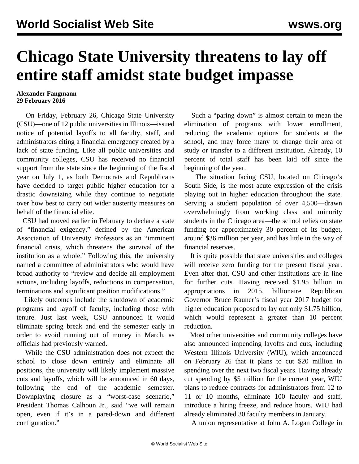## **Chicago State University threatens to lay off entire staff amidst state budget impasse**

## **Alexander Fangmann 29 February 2016**

 On Friday, February 26, Chicago State University (CSU)—one of 12 public universities in Illinois—issued notice of potential layoffs to all faculty, staff, and administrators citing a financial emergency created by a lack of state funding. Like all public universities and community colleges, CSU has received no financial support from the state since the beginning of the fiscal year on July 1, as both Democrats and Republicans have decided to target public higher education for a drastic downsizing while they continue to negotiate over how best to carry out wider austerity measures on behalf of the financial elite.

 CSU had moved earlier in February to declare a state of "financial exigency," defined by the American Association of University Professors as an "imminent financial crisis, which threatens the survival of the institution as a whole." Following this, the university named a committee of administrators who would have broad authority to "review and decide all employment actions, including layoffs, reductions in compensation, terminations and significant position modifications."

 Likely outcomes include the shutdown of academic programs and layoff of faculty, including those with tenure. Just last week, CSU announced it would eliminate spring break and end the semester early in order to avoid running out of money in March, as officials had previously warned.

 While the CSU administration does not expect the school to close down entirely and eliminate all positions, the university will likely implement massive cuts and layoffs, which will be announced in 60 days, following the end of the academic semester. Downplaying closure as a "worst-case scenario," President Thomas Calhoun Jr., said "we will remain open, even if it's in a pared-down and different configuration."

 Such a "paring down" is almost certain to mean the elimination of programs with lower enrollment, reducing the academic options for students at the school, and may force many to change their area of study or transfer to a different institution. Already, 10 percent of total staff has been laid off since the beginning of the year.

 The situation facing CSU, located on Chicago's South Side, is the most acute expression of the crisis playing out in higher education throughout the state. Serving a student population of over 4,500—drawn overwhelmingly from working class and minority students in the Chicago area—the school relies on state funding for approximately 30 percent of its budget, around \$36 million per year, and has little in the way of financial reserves.

 It is quite possible that state universities and colleges will receive zero funding for the present fiscal year. Even after that, CSU and other institutions are in line for further cuts. Having received \$1.95 billion in appropriations in 2015, billionaire Republican Governor Bruce Rauner's fiscal year 2017 budget for higher education proposed to lay out only \$1.75 billion, which would represent a greater than 10 percent reduction.

 Most other universities and community colleges have also announced impending layoffs and cuts, including Western Illinois University (WIU), which announced on February 26 that it plans to cut \$20 million in spending over the next two fiscal years. Having already cut spending by \$5 million for the current year, WIU plans to reduce contracts for administrators from 12 to 11 or 10 months, eliminate 100 faculty and staff, introduce a hiring freeze, and reduce hours. WIU had already eliminated 30 faculty members in January.

A union representative at John A. Logan College in